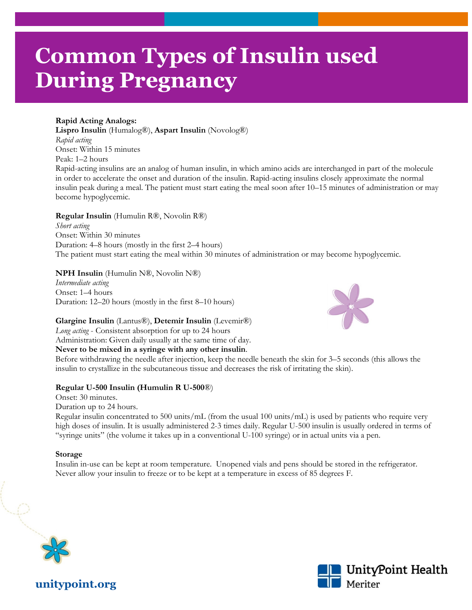# **Common Types of Insulin used During Pregnancy**

#### **Rapid Acting Analogs:**

**Lispro Insulin** (Humalog®), **Aspart Insulin** (Novolog®) *Rapid acting*  Onset: Within 15 minutes Peak: 1–2 hours

Rapid-acting insulins are an analog of human insulin, in which amino acids are interchanged in part of the molecule in order to accelerate the onset and duration of the insulin. Rapid-acting insulins closely approximate the normal insulin peak during a meal. The patient must start eating the meal soon after 10–15 minutes of administration or may become hypoglycemic.

**Regular Insulin** (Humulin R®, Novolin R®) *Short acting*  Onset: Within 30 minutes Duration: 4–8 hours (mostly in the first 2–4 hours) The patient must start eating the meal within 30 minutes of administration or may become hypoglycemic.

#### **NPH Insulin** (Humulin N®, Novolin N®)

*Intermediate acting*  Onset: 1–4 hours Duration: 12–20 hours (mostly in the first 8–10 hours)

#### **Glargine Insulin** (Lantus®), **Detemir Insulin** (Levemir®)

*Long acting* - Consistent absorption for up to 24 hours Administration: Given daily usually at the same time of day.

#### **Never to be mixed in a syringe with any other insulin**.

Before withdrawing the needle after injection, keep the needle beneath the skin for 3–5 seconds (this allows the insulin to crystallize in the subcutaneous tissue and decreases the risk of irritating the skin).

#### **Regular U-500 Insulin (Humulin R U-500**®)

Onset: 30 minutes. Duration up to 24 hours.

Regular insulin concentrated to 500 units/mL (from the usual 100 units/mL) is used by patients who require very high doses of insulin. It is usually administered 2-3 times daily. Regular U-500 insulin is usually ordered in terms of "syringe units" (the volume it takes up in a conventional U-100 syringe) or in actual units via a pen.

#### **Storage**

Insulin in-use can be kept at room temperature. Unopened vials and pens should be stored in the refrigerator. Never allow your insulin to freeze or to be kept at a temperature in excess of 85 degrees F.





**unitypoint.org**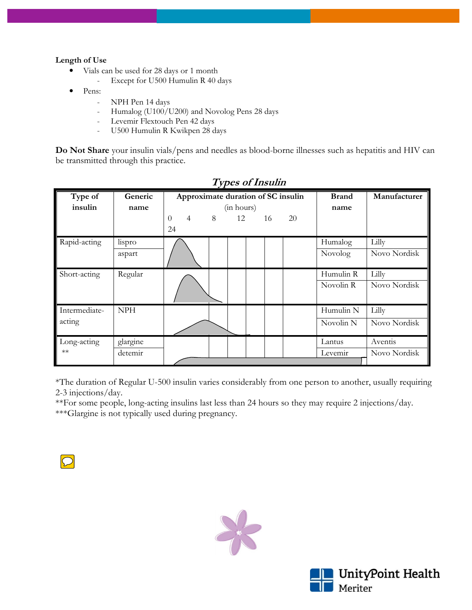#### **Length of Use**

- Vials can be used for 28 days or 1 month
	- Except for U500 Humulin R 40 days
- Pens:
	- NPH Pen 14 days
	- Humalog (U100/U200) and Novolog Pens 28 days
	- Levemir Flextouch Pen 42 days
	- U500 Humulin R Kwikpen 28 days

**Do Not Share** your insulin vials/pens and needles as blood-borne illnesses such as hepatitis and HIV can be transmitted through this practice.

| Type of<br>insulin      | Generic<br>name     | Approximate duration of SC insulin<br>$\overline{4}$<br>$\Omega$<br>24 | 8 | (in hours)<br>12 | 16 | 20 | <b>Brand</b><br>name              | Manufacturer            |
|-------------------------|---------------------|------------------------------------------------------------------------|---|------------------|----|----|-----------------------------------|-------------------------|
| Rapid-acting            | lispro<br>aspart    |                                                                        |   |                  |    |    | Humalog<br>Novolog                | Lilly<br>Novo Nordisk   |
| Short-acting            | Regular             |                                                                        |   |                  |    |    | Humulin R<br>Novolin R            | Lilly<br>Novo Nordisk   |
| Intermediate-<br>acting | <b>NPH</b>          |                                                                        |   |                  |    |    | Humulin N<br>Novolin <sub>N</sub> | Lilly<br>Novo Nordisk   |
| Long-acting<br>$**$     | glargine<br>detemir |                                                                        |   |                  |    |    | Lantus<br>Levemir                 | Aventis<br>Novo Nordisk |

## **Types of Insulin**

\*The duration of Regular U-500 insulin varies considerably from one person to another, usually requiring 2-3 injections/day.

\*\*For some people, long-acting insulins last less than 24 hours so they may require 2 injections/day. \*\*\*Glargine is not typically used during pregnancy.





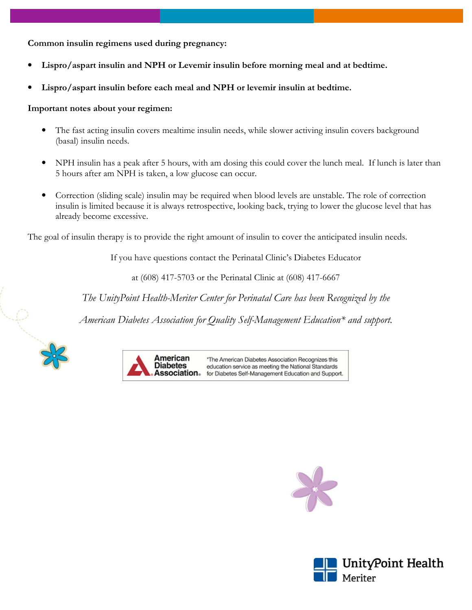**Common insulin regimens used during pregnancy:** 

- **Lispro/aspart insulin and NPH or Levemir insulin before morning meal and at bedtime.**
- **Lispro/aspart insulin before each meal and NPH or levemir insulin at bedtime.**

#### **Important notes about your regimen:**

- The fast acting insulin covers mealtime insulin needs, while slower activing insulin covers background (basal) insulin needs.
- NPH insulin has a peak after 5 hours, with am dosing this could cover the lunch meal. If lunch is later than 5 hours after am NPH is taken, a low glucose can occur.
- Correction (sliding scale) insulin may be required when blood levels are unstable. The role of correction insulin is limited because it is always retrospective, looking back, trying to lower the glucose level that has already become excessive.

The goal of insulin therapy is to provide the right amount of insulin to cover the anticipated insulin needs.

If you have questions contact the Perinatal Clinic's Diabetes Educator

at (608) 417-5703 or the Perinatal Clinic at (608) 417-6667

*The UnityPoint Health-Meriter Center for Perinatal Care has been Recognized by the* 

*American Diabetes Association for Quality Self-Management Education\* and support.*